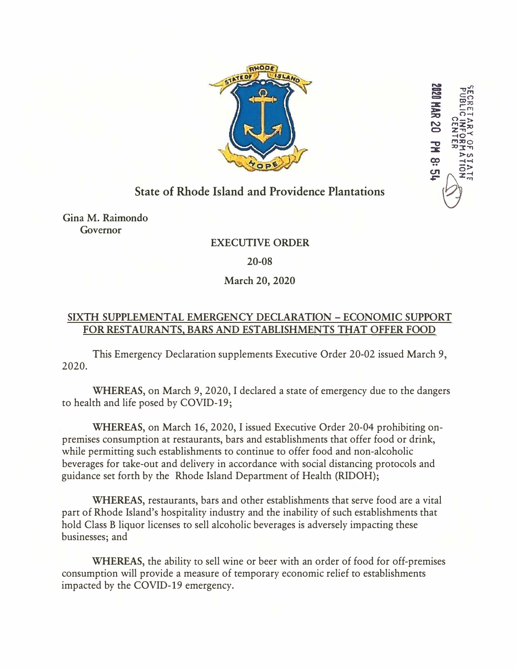

**HAR 20** 

ထ္က

 $\frac{c}{1}$ 

# **State of Rhode Island and Providence Plantations**

Gina M. Raimondo Governor

## **EXECUTIVE ORDER**

#### **20-08**

## **March 20, 2020**

### **SIXTH SUPPLEMENTAL EMERGENCY DECLARATION - ECONOMIC SUPPORT FOR RESTAURANTS, BARS AND ESTABLISHMENTS THAT OFFER FOOD**

This Emergency Declaration supplements Executive Order 20-02 issued March 9, 2020.

**WHEREAS,** on March 9, 2020, I declared a state of emergency due to the dangers to health and life posed by COVID-19;

**WHEREAS,** on March 16, 2020, I issued Executive Order 20-04 prohibiting onpremises consumption at restaurants, bars and establishments that offer food or drink, while permitting such establishments to continue to offer food and non-alcoholic beverages for take-out and delivery in accordance with social distancing protocols and guidance set forth by the Rhode Island Department of Health (RIDOH);

**WHEREAS,** restaurants, bars and other establishments that serve food are a vital part of Rhode Island's hospitality industry and the inability of such establishments that hold Class B liquor licenses to sell alcoholic beverages is adversely impacting these businesses; and

**WHEREAS,** the ability to sell wine or beer with an order of food for off-premises consumption will provide a measure of temporary economic relief to establishments impacted by the COVID-19 emergency.